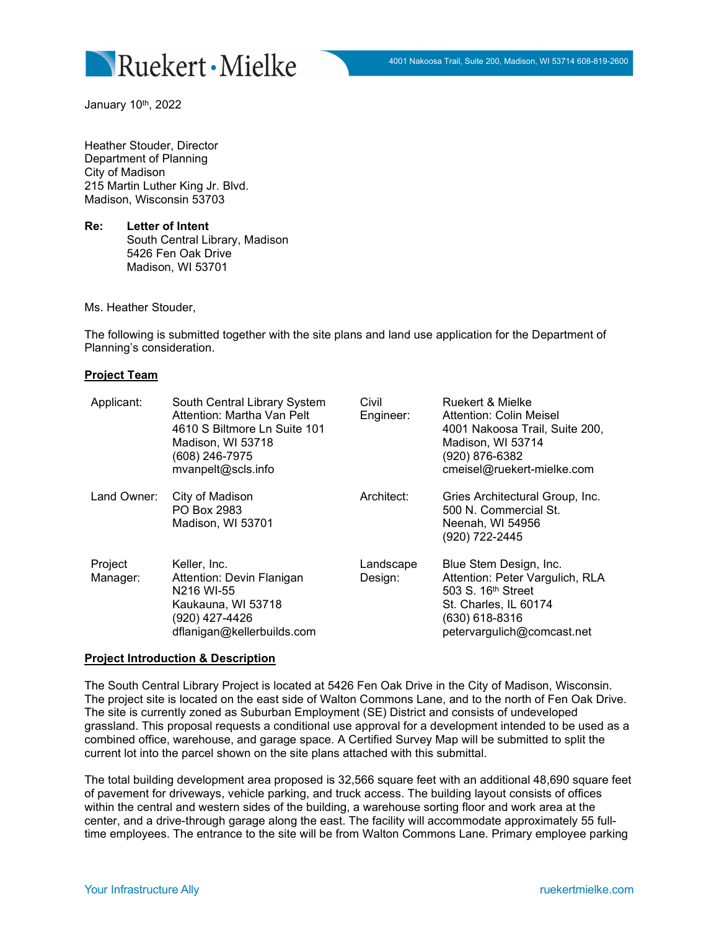

January 10<sup>th</sup>, 2022

Heather Stouder, Director Department of Planning City of Madison 215 Martin Luther King Jr. Blvd. Madison, Wisconsin 53703

**Re: Letter of Intent** South Central Library, Madison 5426 Fen Oak Drive Madison, WI 53701

Ms. Heather Stouder,

The following is submitted together with the site plans and land use application for the Department of Planning's consideration.

### **Project Team**

| Applicant:          | South Central Library System<br>Attention: Martha Van Pelt<br>4610 S Biltmore Ln Suite 101<br>Madison, WI 53718<br>(608) 246-7975<br>mvanpelt@scls.info | Civil<br>Engineer:   | Ruekert & Mielke<br>Attention: Colin Meisel<br>4001 Nakoosa Trail, Suite 200,<br>Madison, WI 53714<br>(920) 876-6382<br>cmeisel@ruekert-mielke.com                   |
|---------------------|---------------------------------------------------------------------------------------------------------------------------------------------------------|----------------------|----------------------------------------------------------------------------------------------------------------------------------------------------------------------|
| Land Owner:         | City of Madison<br>PO Box 2983<br>Madison, WI 53701                                                                                                     | Architect:           | Gries Architectural Group, Inc.<br>500 N. Commercial St.<br>Neenah, WI 54956<br>(920) 722-2445                                                                       |
| Project<br>Manager: | Keller, Inc.<br>Attention: Devin Flanigan<br>N216 WI-55<br>Kaukauna, WI 53718<br>(920) 427-4426<br>dflanigan@kellerbuilds.com                           | Landscape<br>Design: | Blue Stem Design, Inc.<br>Attention: Peter Vargulich, RLA<br>503 S. 16 <sup>th</sup> Street<br>St. Charles, IL 60174<br>(630) 618-8316<br>petervargulich@comcast.net |

#### **Project Introduction & Description**

The South Central Library Project is located at 5426 Fen Oak Drive in the City of Madison, Wisconsin. The project site is located on the east side of Walton Commons Lane, and to the north of Fen Oak Drive. The site is currently zoned as Suburban Employment (SE) District and consists of undeveloped grassland. This proposal requests a conditional use approval for a development intended to be used as a combined office, warehouse, and garage space. A Certified Survey Map will be submitted to split the current lot into the parcel shown on the site plans attached with this submittal.

The total building development area proposed is 32,566 square feet with an additional 48,690 square feet of pavement for driveways, vehicle parking, and truck access. The building layout consists of offices within the central and western sides of the building, a warehouse sorting floor and work area at the center, and a drive-through garage along the east. The facility will accommodate approximately 55 fulltime employees. The entrance to the site will be from Walton Commons Lane. Primary employee parking